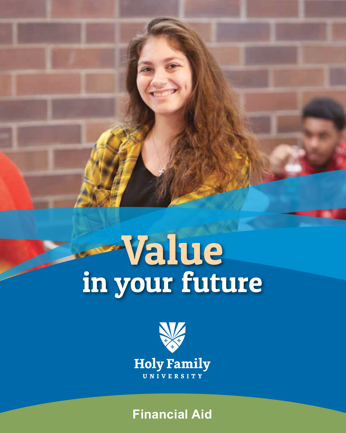# Value in your future



**Financial Aid**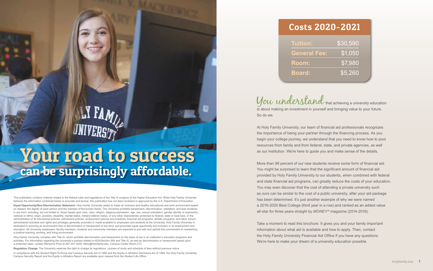You understand that achieving a university education is about making an investment in yourself and bringing value to your future.

So do we.

At Holy Family University, our team of financial aid professionals recognizes the importance of being your partner through the financing process. As you begin your college journey, we understand that you need to know how to pool resources from family and from federal, state, and private agencies, as well as our institution. We're here to guide you and make sense of the details.

# Your road to success can be surprisingly affordable.

More than 98 percent of our new students receive some form of financial aid. You might be surprised to learn that the significant amount of financial aid provided by Holy Family University to our students, when combined with federal and state financial aid programs, can greatly reduce the costs of your education. You may even discover that the cost of attending a private university such as ours can be similar to the cost of a public university, after your aid package has been determined. It's just another example of why we were named a 2019-2020 Best College (third year in a row) and ranked as an added value all-star for three years straight by *MONEY ®* magazine (2014-2016).

This publication contains material related to the federal rules and regulations of the Title IV program of the Higher Education Act. While Holy Family University believes the information contained herein is accurate and factual, this publication has not been reviewed or approved by the U.S. Department of Education.

> Take a moment to read this brochure. It gives you and your family important information about what aid is available and how to apply. Then, contact the Holy Family University Financial Aid Office if you have any questions. We're here to make your dream of a university education possible.



### Costs 2020-2021

| Tuition:            |  |
|---------------------|--|
| <b>General Fee:</b> |  |
| <b>Room:</b>        |  |
| <b>Board:</b>       |  |

Holy Family University complies with Title IX, which prohibits discrimination and harassment on the basis of sex in an institution's education programs and activities. For information regarding the University's policies related to ADA/Section 504 and Title IX, as well as discrimination or harassment based upon a protected class, contact Marianne Price at 267-341-3204, titleix@holyfamily.edu, Campus Center Room 213.

**Equal Opportunity/Non-Discrimination Statement:** Holy Family University seeks to foster an inclusive and healthy educational and work environment based on respect, the dignity of each person and the oneness of the human family. The University prohibits harassment, discrimination, retaliation, and bias incidents in any form, including, but not limited to, those based upon race, color, religion, religious-expression, age, sex, sexual orientation, gender identity or expression, national or ethnic origin, ancestry, disability, marital status, military/veteran status, or any other characteristic protected by federal, state or local laws, in the administration of its educational policies, admissions policies, employment policies and practices, financial aid programs, athletic programs, and other schooladministered activities and rights and privileges generally accorded or made available to employees and students at the University. Holy Family University is dedicated to ensuring an environment free of discrimination or harassment of any kind, and promotes equal opportunity and inclusion in its employment and education. All University employees, faculty members, students and community members are expected to join with and uphold this commitment to maintaining a positive learning, working, and living environment.

**Regulation Change**: The University reserves the right to change its regulations, courses of study and schedule of fees without previous notice.

In compliance with the Student Right-To-Know and Campus Security Act of 1990 and the Equity in Athletics Disclosure Act of 1994, the Holy Family University Campus Security Report and the Equity in Athletics Report are available upon request from the Student Life Office.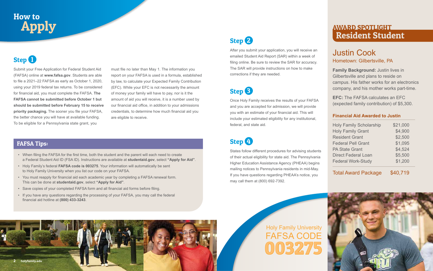### Justin Cook Hometown: Gilbertsville, PA

**Family Background:** Justin lives in Gilbertsville and plans to reside on campus. His father works for an electronics company, and his mother works part-time.

**EFC:** The FAFSA calculates an EFC (expected family contribution) of \$5,300.

#### **Financial Aid Awarded to Justin**

| <b>Holy Family Scholarship</b> | \$21,000 |
|--------------------------------|----------|
| <b>Holy Family Grant</b>       | \$4,900  |
| <b>Resident Grant</b>          | \$2,500  |
| <b>Federal Pell Grant</b>      | \$1,095  |
| <b>PA State Grant</b>          | \$4,524  |
| <b>Direct Federal Loan</b>     | \$5,500  |
| <b>Federal Work-Study</b>      | \$1,200  |

Total Award Package \$40,719

### AWARD SPOTLIGHT Resident Student

## How to Apply

### **Step 1**

After you submit your application, you will receive an emailed Student Aid Report (SAR) within a week of filing online. Be sure to review the SAR for accuracy. The SAR will provide instructions on how to make corrections if they are needed.

### Step <sup>8</sup>



Once Holy Family receives the results of your FAFSA and you are accepted for admission, we will provide you with an estimate of your financial aid. This will include your estimated eligibility for any institutional, federal, and state aid.

### Step 4

States follow different procedures for advising students of their actual eligibility for state aid. The Pennsylvania Higher Education Assistance Agency (PHEAA) begins mailing notices to Pennsylvania residents in mid-May. If you have questions regarding PHEAA's notice, you may call them at (800) 692-7392.

## Holy Family University FAFSA CODE 003275



Submit your Free Application for Federal Student Aid (FAFSA) online at **www.fafsa.gov**. Students are able to file a 2021–22 FAFSA as early as October 1, 2020, using your 2019 federal tax returns. To be considered for financial aid, you must complete the FAFSA. **The FAFSA cannot be submitted before October 1 but should be submitted before February 15 to receive priority packaging.** The sooner you file your FAFSA, the better chance you will have at available funding. To be eligible for a Pennsylvania state grant, you

### FAFSA Tips:

- When filing the FAFSA for the first time, both the student and the parent will each need to create a Federal Student Aid ID (FSA ID). Instructions are available at **studentaid.gov**, select **"Apply for Aid"**.
- Holy Family's federal **FAFSA code is 003275**. Your information will automatically be sent to Holy Family University when you list our code on your FAFSA.
- You must reapply for financial aid each academic year by completing a FAFSA renewal form. This can be done at **studentaid.gov**, select **"Apply for Aid"**.
- Save copies of your completed FAFSA form and all financial aid forms before filing.
- If you have any questions regarding the processing of your FAFSA, you may call the federal financial aid hotline at **(800) 433-3243**.

must file no later than May 1. The information you report on your FAFSA is used in a formula, established by law, to calculate your Expected Family Contribution (EFC). While your EFC is not necessarily the amount of money your family will have to pay, nor is it the amount of aid you will receive, it is a number used by our financial aid office, in addition to your admissions credentials, to determine how much financial aid you are eligible to receive.



### Step 2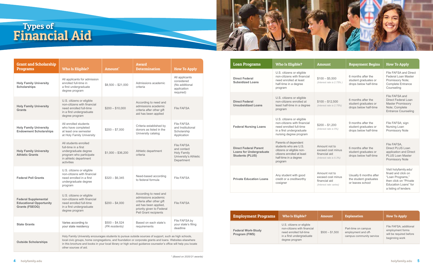| <b>Grant and Scholarship</b><br><b>Programs</b>                                        | <b>Who Is Eligible?</b>                                                                                                                                                                                                                                                                                                                                         | Amount <sup>*</sup>               | Award<br><b>Determination</b>                                                                                                                            | <b>How To Apply</b>                                                                           |
|----------------------------------------------------------------------------------------|-----------------------------------------------------------------------------------------------------------------------------------------------------------------------------------------------------------------------------------------------------------------------------------------------------------------------------------------------------------------|-----------------------------------|----------------------------------------------------------------------------------------------------------------------------------------------------------|-----------------------------------------------------------------------------------------------|
| <b>Holy Family University</b><br><b>Scholarships</b>                                   | All applicants for admission<br>enrolled full-time in<br>a first undergraduate<br>degree program                                                                                                                                                                                                                                                                | $$8,500 - $21,000$                | Admissions academic<br>criteria                                                                                                                          | All applicants<br>considered<br>(No additional<br>application<br>required)                    |
| <b>Holy Family University</b><br><b>Grants</b>                                         | U.S. citizens or eligible<br>non-citizens with financial<br>need enrolled full-time<br>in a first undergraduate<br>degree program                                                                                                                                                                                                                               | $$200 - $10,000$                  | According to need and<br>admissions academic<br>criteria after other gift<br>aid has been applied                                                        | <b>File FAFSA</b>                                                                             |
| <b>Holy Family University</b><br><b>Endowment Scholarships</b>                         | All enrolled students<br>who have completed<br>at least one semester<br>at Holy Family University                                                                                                                                                                                                                                                               | $$200 - $7,000$                   | Criteria established by<br>donors as listed in the<br>University catalog                                                                                 | <b>File FAFSA</b><br>and Institutional<br>Scholarship<br>Application                          |
| <b>Holy Family University</b><br><b>Athletic Grants</b>                                | All students enrolled<br>full-time in a first<br>undergraduate degree<br>program who participate<br>in athletic department<br>activities                                                                                                                                                                                                                        | $$1,000 - $36,200$                | Athletic department<br>criteria                                                                                                                          | <b>File FAFSA</b><br>and contact<br><b>Holy Family</b><br>University's Athletic<br>Department |
| <b>Federal Pell Grants</b>                                                             | U.S. citizens or eligible<br>non-citizens with financial<br>need enrolled in a first<br>undergraduate degree<br>program                                                                                                                                                                                                                                         | $$320 - $6,345$                   | Need-based according<br>to federal formula                                                                                                               | <b>File FAFSA</b>                                                                             |
| <b>Federal Supplemental</b><br><b>Educational Opportunity</b><br><b>Grants (FSEOG)</b> | U.S. citizens or eligible<br>non-citizens with financial<br>need enrolled full-time<br>in a first undergraduate<br>degree program                                                                                                                                                                                                                               | $$200 - $4,000$                   | According to need and<br>admissions academic<br>criteria after other gift<br>aid has been applied,<br>priority given to Federal<br>Pell Grant recipients | <b>File FAFSA</b>                                                                             |
| <b>State Grants</b>                                                                    | Varies according to<br>your state residency                                                                                                                                                                                                                                                                                                                     | $$500 - $4,524$<br>(PA residents) | Based on each state's<br>requirements                                                                                                                    | File FAFSA by<br>your state's filing<br>deadline                                              |
| <b>Outside Scholarships</b>                                                            | Holy Family University encourages students to pursue outside sources of support, such as high schools,<br>local civic groups, home congregations, and foundation or corporate grants and loans. Websites elsewhere<br>in this brochure and books in your local library or high school guidance counselor's office will help you locate<br>other sources of aid. |                                   |                                                                                                                                                          |                                                                                               |



### Types of Financial Aid

| <b>Loan Programs</b>                                                                     | <b>Who Is Eligible?</b>                                                                                                                      | <b>Amount</b>                                                                  | <b>Repayment Begins</b>                                             | <b>How To Apply</b>                                                                                                                         |
|------------------------------------------------------------------------------------------|----------------------------------------------------------------------------------------------------------------------------------------------|--------------------------------------------------------------------------------|---------------------------------------------------------------------|---------------------------------------------------------------------------------------------------------------------------------------------|
| <b>Direct Federal</b><br><b>Subsidized Loans</b>                                         | U.S. citizens or eligible<br>non-citizens with financial<br>need enrolled at least<br>half-time in a degree<br>program                       | $$100 - $5,500$<br>(Interest rate is 2.75%)                                    | 6 months after the<br>student graduates or<br>drops below half-time | File FAFSA and Direct<br>Federal Loan Master<br>Promissory Note;<br><b>Complete Entrance</b><br>Counseling                                  |
| <b>Direct Federal</b><br><b>Unsubsidized Loans</b>                                       | U.S. citizens or eligible<br>non-citizens enrolled at<br>least half-time in a degree<br>program                                              | $$100 - $12,500$<br>(Interest rate is 2.75%)                                   | 6 months after the<br>student graduates or<br>drops below half-time | File FAFSA and<br>Direct Federal Loan<br><b>Master Promissory</b><br>Note; Complete<br><b>Entrance Counseling</b>                           |
| <b>Federal Nursing Loans</b>                                                             | U.S. citizens or eligible<br>non-citizens with financial<br>need enrolled full-time<br>in a first undergraduate<br>nursing degree program    | $$200 - $1,200$<br>(Interest rate is 5%)                                       | 9 months after the<br>student graduates or<br>drops below half-time | File FAFSA; sign<br>Nursing Loan<br>Promissory Note                                                                                         |
| <b>Direct Federal Parent</b><br><b>Loans for Undergraduate</b><br><b>Students (PLUS)</b> | Parents of dependent<br>students who are U.S.<br>citizens or eligible non-<br>citizens enrolled at least<br>half-time in a degree<br>program | Amount not to<br>exceed cost minus<br>financial aid<br>(Interest rate is 5.3%) | 6 months after the<br>student graduates or<br>drops below half-time | File FAFSA.<br>Direct PLUS Loan<br>application and Direct<br><b>PLUS Loan Master</b><br><b>Promissory Note</b>                              |
| <b>Private Education Loans</b>                                                           | Any student with good<br>credit or a creditworthy<br>cosigner                                                                                | Amount not to<br>exceed cost minus<br>financial aid<br>(Interest rate varies)  | Usually 6 months after<br>the student graduates<br>or leaves school | Visit holyfamily.edu/<br>finaid and click on<br>"Loan Programs,"<br>then click on "Private"<br>Education Loans" for<br>a listing of lenders |

| <b>Employment Programs</b>                 | Who Is Eligible?                                                                                                                  | <b>Amount</b>   | <b>Explanation</b>                                                     | <b>How To Apply</b>                                                                     |
|--------------------------------------------|-----------------------------------------------------------------------------------------------------------------------------------|-----------------|------------------------------------------------------------------------|-----------------------------------------------------------------------------------------|
| <b>Federal Work-Study</b><br>Program (FWS) | U.S. citizens or eligible<br>non-citizens with financial<br>need enrolled full-time<br>in a first undergraduate<br>degree program | $$500 - $1,500$ | Part-time on campus<br>employment and off-<br>campus community service | File FAFSA; additional<br>employment forms<br>will be required before<br>beginning work |

*\* (Based on 2020/21 awards)*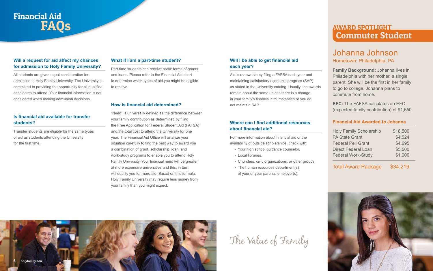

## Financial Aid FAQs

#### **What if I am a part-time student?**

Part-time students can receive some forms of grants and loans. Please refer to the Financial Aid chart to determine which types of aid you might be eligible to receive.

#### **How is financial aid determined?**

"Need" is universally defined as the difference between your family contribution as determined by filing the Free Application for Federal Student Aid (FAFSA) and the total cost to attend the University for one year. The Financial Aid Office will analyze your situation carefully to find the best way to award you a combination of grant, scholarship, loan, and work-study programs to enable you to attend Holy Family University. Your financial need will be greater at more expensive universities and this, in turn, will qualify you for more aid. Based on this formula, Holy Family University may require less money from your family than you might expect.

- Your high school guidance counselor.
- Local libraries.
- Churches, civic organizations, or other groups.
- The human resources department(s)

#### **Will a request for aid affect my chances for admission to Holy Family University?**

All students are given equal consideration for admission to Holy Family University. The University is committed to providing the opportunity for all qualified candidates to attend. Your financial information is not considered when making admission decisions.

#### **Is financial aid available for transfer students?**

Transfer students are eligible for the same types of aid as students attending the University for the first time.

# The Value of Family



#### **Will I be able to get financial aid each year?**

Aid is renewable by filing a FAFSA each year and maintaining satisfactory academic progress (SAP) as stated in the University catalog. Usually, the awards remain about the same unless there is a change in your family's financial circumstances or you do not maintain SAP.

#### **Where can I find additional resources about financial aid?**

For more information about financial aid or the availability of outside scholarships, check with:

of your or your parents' employer(s).

### Johanna Johnson Hometown: Philadelphia, PA

Holy Family Scholarship \$18,500 PA State Grant \$4,524 Federal Pell Grant \$4,695 Direct Federal Loan \$5,500 Federal Work-Study \$1,000

**Family Background:** Johanna lives in Philadelphia with her mother, a single parent. She will be the first in her family to go to college. Johanna plans to commute from home.

**EFC:** The FAFSA calculates an EFC (expected family contribution) of \$1,650.

#### **Financial Aid Awarded to Johanna**

Total Award Package \$34,219

### AWARD SPOTLIGHT Commuter Student

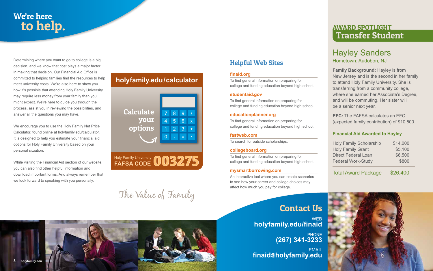### Hayley Sanders Hometown: Audobon, NJ

**Family Background:** Hayley is from New Jersey and is the second in her family to attend Holy Family University. She is transferring from a community college, where she earned her Associate's Degree, and will be commuting. Her sister will be a senior next year.

**EFC:** The FAFSA calculates an EFC (expected family contribution) of \$10,500.

#### **Financial Aid Awarded to Hayley**

| <b>Holy Family Scholarship</b> | \$14,000 |
|--------------------------------|----------|
| <b>Holy Family Grant</b>       | \$5,100  |
| <b>Direct Federal Loan</b>     | \$6,500  |
| <b>Federal Work-Study</b>      | \$800    |

Total Award Package \$26,400



## We're here to help.

Determining where you want to go to college is a big decision, and we know that cost plays a major factor in making that decision. Our Financial Aid Office is committed to helping families find the resources to help meet university costs. We're also here to show you how it's possible that attending Holy Family University may require less money from your family than you might expect. We're here to guide you through the process, assist you in reviewing the possibilities, and answer all the questions you may have.

> **WEB holyfamily.edu/finaid**

**EMAIL finaid@holyfamily.edu**



We encourage you to use the Holy Family Net Price Calculator, found online at holyfamily.edu/calculator. It is designed to help you estimate your financial aid options for Holy Family University based on your personal situation.

While visiting the Financial Aid section of our website, you can also find other helpful information and download important forms. And always remember that we look forward to speaking with you personally.

## The Value of Family



### AWARD SPOTLIGHT Transfer Student

### **holyfamily.edu/calculator**



### Contact Us

PHONE **(267) 341-3233**

### Helpful Web Sites

#### **finaid.org**

To find general information on preparing for college and funding education beyond high school.

#### **studentaid.gov**

To find general information on preparing for college and funding education beyond high school.

#### **educationplanner.org**

To find general information on preparing for college and funding education beyond high school.

#### **fastweb.com**

To search for outside scholarships.

#### **collegeboard.org**

To find general information on preparing for college and funding education beyond high school.

#### **mysmartborrowing.com**

An interactive tool where you can create scenarios to see how your career and college choices may affect how much you pay for college.